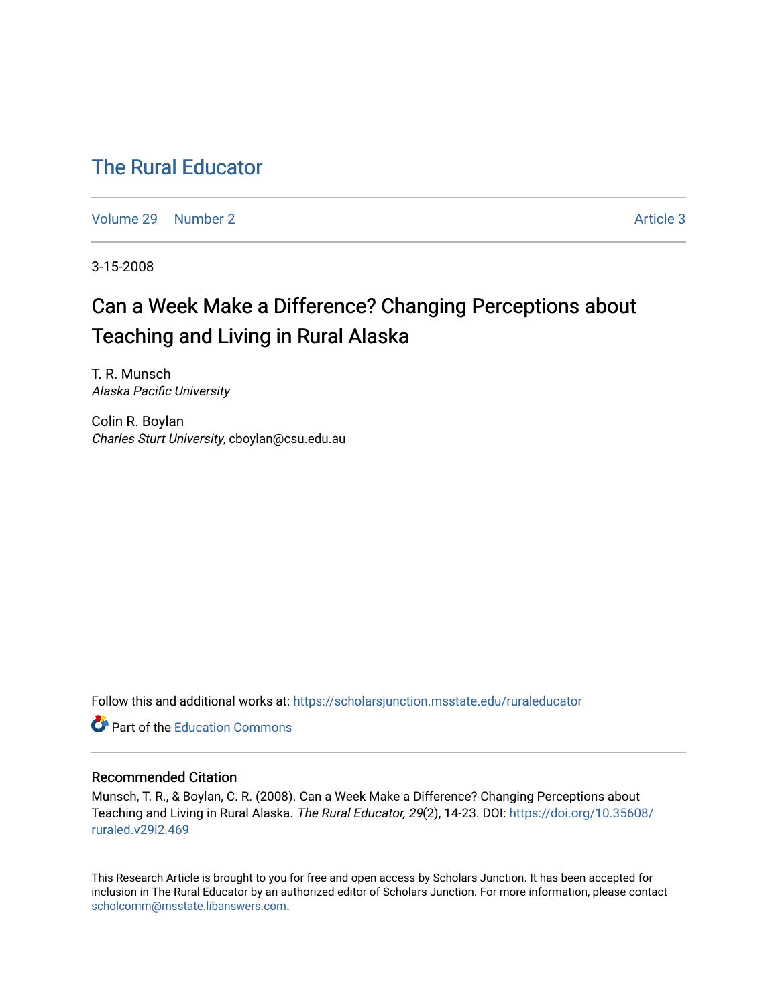## [The Rural Educator](https://scholarsjunction.msstate.edu/ruraleducator)

[Volume 29](https://scholarsjunction.msstate.edu/ruraleducator/vol29) [Number 2](https://scholarsjunction.msstate.edu/ruraleducator/vol29/iss2) Article 3

3-15-2008

# Can a Week Make a Difference? Changing Perceptions about Teaching and Living in Rural Alaska

T. R. Munsch Alaska Pacific University

Colin R. Boylan Charles Sturt University, cboylan@csu.edu.au

Follow this and additional works at: [https://scholarsjunction.msstate.edu/ruraleducator](https://scholarsjunction.msstate.edu/ruraleducator?utm_source=scholarsjunction.msstate.edu%2Fruraleducator%2Fvol29%2Fiss2%2F3&utm_medium=PDF&utm_campaign=PDFCoverPages)

**C** Part of the [Education Commons](http://network.bepress.com/hgg/discipline/784?utm_source=scholarsjunction.msstate.edu%2Fruraleducator%2Fvol29%2Fiss2%2F3&utm_medium=PDF&utm_campaign=PDFCoverPages)

#### Recommended Citation

Munsch, T. R., & Boylan, C. R. (2008). Can a Week Make a Difference? Changing Perceptions about Teaching and Living in Rural Alaska. The Rural Educator, 29(2), 14-23. DOI: [https://doi.org/10.35608/](https://doi.org/10.35608/ruraled.v29i2.469) [ruraled.v29i2.469](https://doi.org/10.35608/ruraled.v29i2.469)

This Research Article is brought to you for free and open access by Scholars Junction. It has been accepted for inclusion in The Rural Educator by an authorized editor of Scholars Junction. For more information, please contact [scholcomm@msstate.libanswers.com.](mailto:scholcomm@msstate.libanswers.com)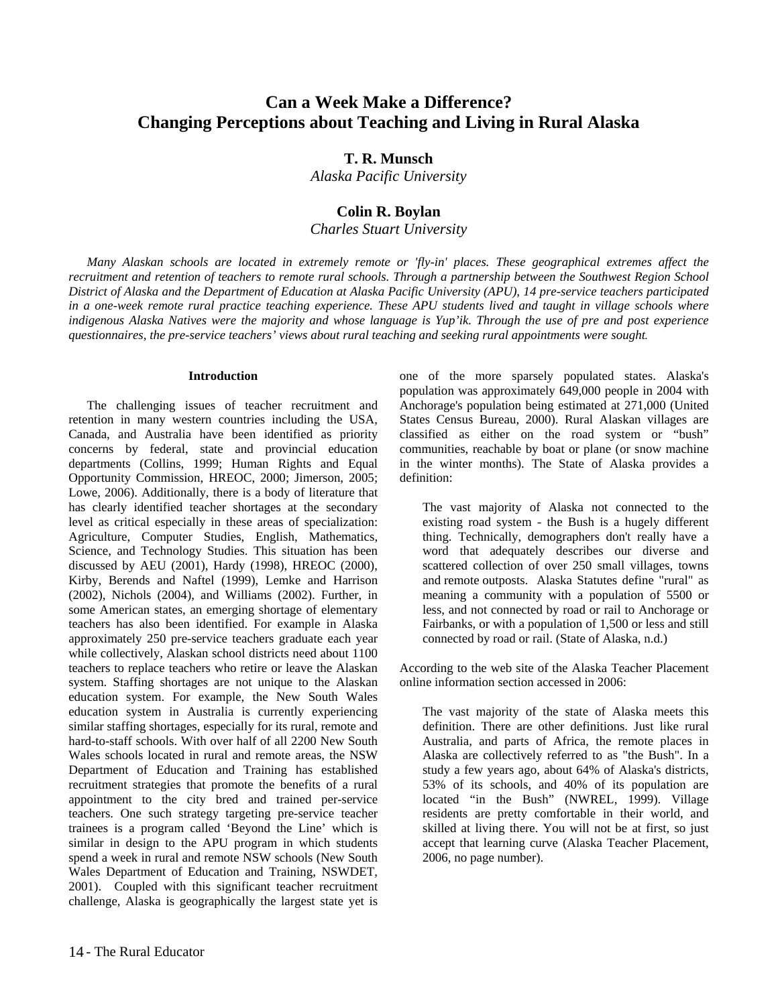### **Can a Week Make a Difference? Changing Perceptions about Teaching and Living in Rural Alaska**

#### **T. R. Munsch**

*Alaska Pacific University*

#### **Colin R. Boylan**

*Charles Stuart University*

*Many Alaskan schools are located in extremely remote or 'fly-in' places. These geographical extremes affect the recruitment and retention of teachers to remote rural schools. Through a partnership between the Southwest Region School District of Alaska and the Department of Education at Alaska Pacific University (APU), 14 pre-service teachers participated in a one-week remote rural practice teaching experience. These APU students lived and taught in village schools where indigenous Alaska Natives were the majority and whose language is Yup'ik. Through the use of pre and post experience questionnaires, the pre-service teachers' views about rural teaching and seeking rural appointments were sought.*

#### **Introduction**

The challenging issues of teacher recruitment and retention in many western countries including the USA, Canada, and Australia have been identified as priority concerns by federal, state and provincial education departments (Collins, 1999; Human Rights and Equal Opportunity Commission, HREOC, 2000; Jimerson, 2005; Lowe, 2006). Additionally, there is a body of literature that has clearly identified teacher shortages at the secondary level as critical especially in these areas of specialization: Agriculture, Computer Studies, English, Mathematics, Science, and Technology Studies. This situation has been discussed by AEU (2001), Hardy (1998), HREOC (2000), Kirby, Berends and Naftel (1999), Lemke and Harrison (2002), Nichols (2004), and Williams (2002). Further, in some American states, an emerging shortage of elementary teachers has also been identified. For example in Alaska approximately 250 pre-service teachers graduate each year while collectively, Alaskan school districts need about 1100 teachers to replace teachers who retire or leave the Alaskan system. Staffing shortages are not unique to the Alaskan education system. For example, the New South Wales education system in Australia is currently experiencing similar staffing shortages, especially for its rural, remote and hard-to-staff schools. With over half of all 2200 New South Wales schools located in rural and remote areas, the NSW Department of Education and Training has established recruitment strategies that promote the benefits of a rural appointment to the city bred and trained per-service teachers. One such strategy targeting pre-service teacher trainees is a program called 'Beyond the Line' which is similar in design to the APU program in which students spend a week in rural and remote NSW schools (New South Wales Department of Education and Training, NSWDET, 2001). Coupled with this significant teacher recruitment challenge, Alaska is geographically the largest state yet is

one of the more sparsely populated states. Alaska's population was approximately 649,000 people in 2004 with Anchorage's population being estimated at 271,000 (United States Census Bureau, 2000). Rural Alaskan villages are classified as either on the road system or "bush" communities, reachable by boat or plane (or snow machine in the winter months). The State of Alaska provides a definition:

The vast majority of Alaska not connected to the existing road system - the Bush is a hugely different thing. Technically, demographers don't really have a word that adequately describes our diverse and scattered collection of over 250 small villages, towns and remote outposts. Alaska Statutes define "rural" as meaning a community with a population of 5500 or less, and not connected by road or rail to Anchorage or Fairbanks, or with a population of 1,500 or less and still connected by road or rail. (State of Alaska, n.d.)

According to the web site of the Alaska Teacher Placement online information section accessed in 2006:

The vast majority of the state of Alaska meets this definition. There are other definitions. Just like rural Australia, and parts of Africa, the remote places in Alaska are collectively referred to as "the Bush". In a study a few years ago, about 64% of Alaska's districts, 53% of its schools, and 40% of its population are located "in the Bush" (NWREL, 1999). Village residents are pretty comfortable in their world, and skilled at living there. You will not be at first, so just accept that learning curve (Alaska Teacher Placement, 2006, no page number).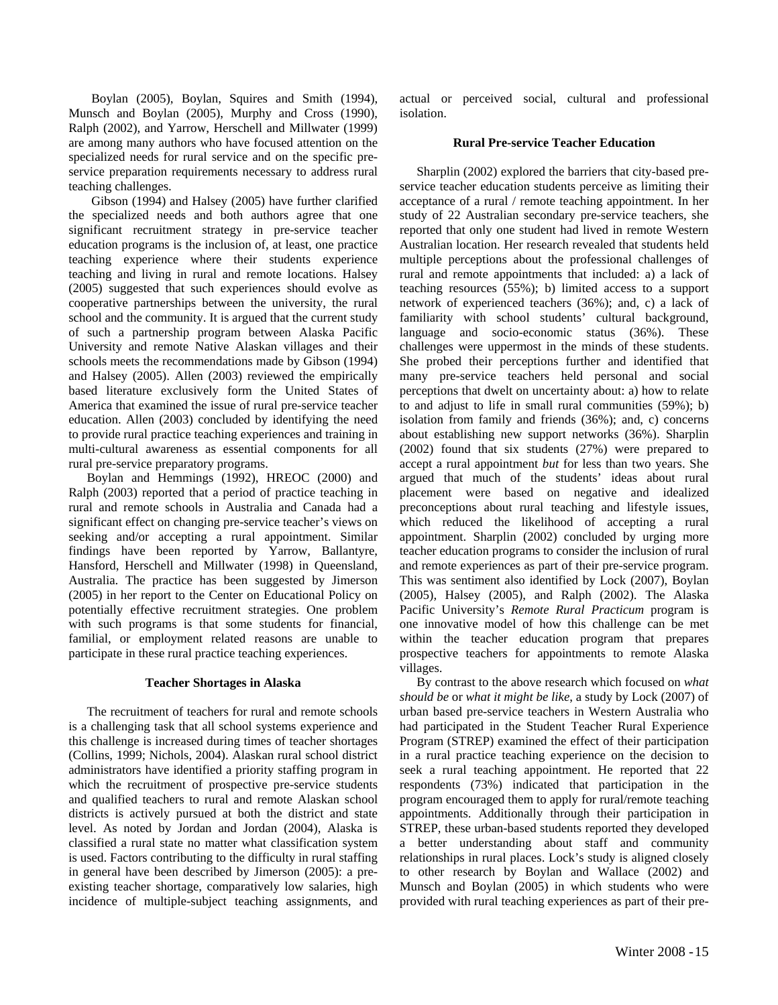Boylan (2005), Boylan, Squires and Smith (1994), Munsch and Boylan (2005), Murphy and Cross (1990), Ralph (2002), and Yarrow, Herschell and Millwater (1999) are among many authors who have focused attention on the specialized needs for rural service and on the specific preservice preparation requirements necessary to address rural teaching challenges.

Gibson (1994) and Halsey (2005) have further clarified the specialized needs and both authors agree that one significant recruitment strategy in pre-service teacher education programs is the inclusion of, at least, one practice teaching experience where their students experience teaching and living in rural and remote locations. Halsey (2005) suggested that such experiences should evolve as cooperative partnerships between the university, the rural school and the community. It is argued that the current study of such a partnership program between Alaska Pacific University and remote Native Alaskan villages and their schools meets the recommendations made by Gibson (1994) and Halsey (2005). Allen (2003) reviewed the empirically based literature exclusively form the United States of America that examined the issue of rural pre-service teacher education. Allen (2003) concluded by identifying the need to provide rural practice teaching experiences and training in multi-cultural awareness as essential components for all rural pre-service preparatory programs.

Boylan and Hemmings (1992), HREOC (2000) and Ralph (2003) reported that a period of practice teaching in rural and remote schools in Australia and Canada had a significant effect on changing pre-service teacher's views on seeking and/or accepting a rural appointment. Similar findings have been reported by Yarrow, Ballantyre, Hansford, Herschell and Millwater (1998) in Queensland, Australia. The practice has been suggested by Jimerson (2005) in her report to the Center on Educational Policy on potentially effective recruitment strategies. One problem with such programs is that some students for financial, familial, or employment related reasons are unable to participate in these rural practice teaching experiences.

#### **Teacher Shortages in Alaska**

The recruitment of teachers for rural and remote schools is a challenging task that all school systems experience and this challenge is increased during times of teacher shortages (Collins, 1999; Nichols, 2004). Alaskan rural school district administrators have identified a priority staffing program in which the recruitment of prospective pre-service students and qualified teachers to rural and remote Alaskan school districts is actively pursued at both the district and state level. As noted by Jordan and Jordan (2004), Alaska is classified a rural state no matter what classification system is used. Factors contributing to the difficulty in rural staffing in general have been described by Jimerson (2005): a preexisting teacher shortage, comparatively low salaries, high incidence of multiple-subject teaching assignments, and actual or perceived social, cultural and professional isolation.

#### **Rural Pre-service Teacher Education**

Sharplin (2002) explored the barriers that city-based preservice teacher education students perceive as limiting their acceptance of a rural / remote teaching appointment. In her study of 22 Australian secondary pre-service teachers, she reported that only one student had lived in remote Western Australian location. Her research revealed that students held multiple perceptions about the professional challenges of rural and remote appointments that included: a) a lack of teaching resources (55%); b) limited access to a support network of experienced teachers (36%); and, c) a lack of familiarity with school students' cultural background, language and socio-economic status (36%). These challenges were uppermost in the minds of these students. She probed their perceptions further and identified that many pre-service teachers held personal and social perceptions that dwelt on uncertainty about: a) how to relate to and adjust to life in small rural communities (59%); b) isolation from family and friends (36%); and, c) concerns about establishing new support networks (36%). Sharplin (2002) found that six students (27%) were prepared to accept a rural appointment *but* for less than two years. She argued that much of the students' ideas about rural placement were based on negative and idealized preconceptions about rural teaching and lifestyle issues, which reduced the likelihood of accepting a rural appointment. Sharplin (2002) concluded by urging more teacher education programs to consider the inclusion of rural and remote experiences as part of their pre-service program. This was sentiment also identified by Lock (2007), Boylan (2005), Halsey (2005), and Ralph (2002). The Alaska Pacific University's *Remote Rural Practicum* program is one innovative model of how this challenge can be met within the teacher education program that prepares prospective teachers for appointments to remote Alaska villages.

By contrast to the above research which focused on *what should be* or *what it might be like*, a study by Lock (2007) of urban based pre-service teachers in Western Australia who had participated in the Student Teacher Rural Experience Program (STREP) examined the effect of their participation in a rural practice teaching experience on the decision to seek a rural teaching appointment. He reported that 22 respondents (73%) indicated that participation in the program encouraged them to apply for rural/remote teaching appointments. Additionally through their participation in STREP, these urban-based students reported they developed a better understanding about staff and community relationships in rural places. Lock's study is aligned closely to other research by Boylan and Wallace (2002) and Munsch and Boylan (2005) in which students who were provided with rural teaching experiences as part of their pre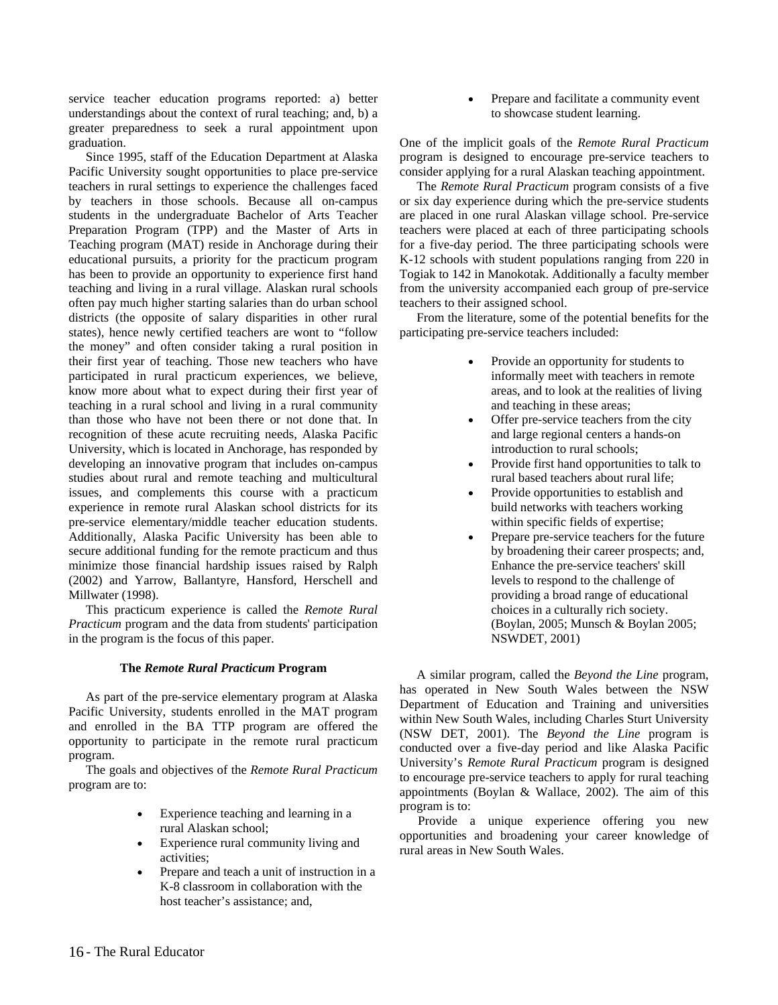service teacher education programs reported: a) better understandings about the context of rural teaching; and, b) a greater preparedness to seek a rural appointment upon graduation.

Since 1995, staff of the Education Department at Alaska Pacific University sought opportunities to place pre-service teachers in rural settings to experience the challenges faced by teachers in those schools. Because all on-campus students in the undergraduate Bachelor of Arts Teacher Preparation Program (TPP) and the Master of Arts in Teaching program (MAT) reside in Anchorage during their educational pursuits, a priority for the practicum program has been to provide an opportunity to experience first hand teaching and living in a rural village. Alaskan rural schools often pay much higher starting salaries than do urban school districts (the opposite of salary disparities in other rural states), hence newly certified teachers are wont to "follow the money" and often consider taking a rural position in their first year of teaching. Those new teachers who have participated in rural practicum experiences, we believe, know more about what to expect during their first year of teaching in a rural school and living in a rural community than those who have not been there or not done that. In recognition of these acute recruiting needs, Alaska Pacific University, which is located in Anchorage, has responded by developing an innovative program that includes on-campus studies about rural and remote teaching and multicultural issues, and complements this course with a practicum experience in remote rural Alaskan school districts for its pre-service elementary/middle teacher education students. Additionally, Alaska Pacific University has been able to secure additional funding for the remote practicum and thus minimize those financial hardship issues raised by Ralph (2002) and Yarrow, Ballantyre, Hansford, Herschell and Millwater (1998).

This practicum experience is called the *Remote Rural Practicum* program and the data from students' participation in the program is the focus of this paper.

#### **The** *Remote Rural Practicum* **Program**

As part of the pre-service elementary program at Alaska Pacific University, students enrolled in the MAT program and enrolled in the BA TTP program are offered the opportunity to participate in the remote rural practicum program.

The goals and objectives of the *Remote Rural Practicum* program are to:

- Experience teaching and learning in a rural Alaskan school;
- Experience rural community living and activities;
- Prepare and teach a unit of instruction in a K-8 classroom in collaboration with the host teacher's assistance; and,

 Prepare and facilitate a community event to showcase student learning.

One of the implicit goals of the *Remote Rural Practicum* program is designed to encourage pre-service teachers to consider applying for a rural Alaskan teaching appointment.

The *Remote Rural Practicum* program consists of a five or six day experience during which the pre-service students are placed in one rural Alaskan village school. Pre-service teachers were placed at each of three participating schools for a five-day period. The three participating schools were K-12 schools with student populations ranging from 220 in Togiak to 142 in Manokotak. Additionally a faculty member from the university accompanied each group of pre-service teachers to their assigned school.

From the literature, some of the potential benefits for the participating pre-service teachers included:

- Provide an opportunity for students to informally meet with teachers in remote areas, and to look at the realities of living and teaching in these areas;
- Offer pre-service teachers from the city and large regional centers a hands-on introduction to rural schools;
- Provide first hand opportunities to talk to rural based teachers about rural life;
- Provide opportunities to establish and build networks with teachers working within specific fields of expertise;
- Prepare pre-service teachers for the future by broadening their career prospects; and, Enhance the pre-service teachers' skill levels to respond to the challenge of providing a broad range of educational choices in a culturally rich society. (Boylan, 2005; Munsch & Boylan 2005; NSWDET, 2001)

A similar program, called the *Beyond the Line* program, has operated in New South Wales between the NSW Department of Education and Training and universities within New South Wales, including Charles Sturt University (NSW DET, 2001). The *Beyond the Line* program is conducted over a five-day period and like Alaska Pacific University's *Remote Rural Practicum* program is designed to encourage pre-service teachers to apply for rural teaching appointments (Boylan & Wallace, 2002). The aim of this program is to:

Provide a unique experience offering you new opportunities and broadening your career knowledge of rural areas in New South Wales.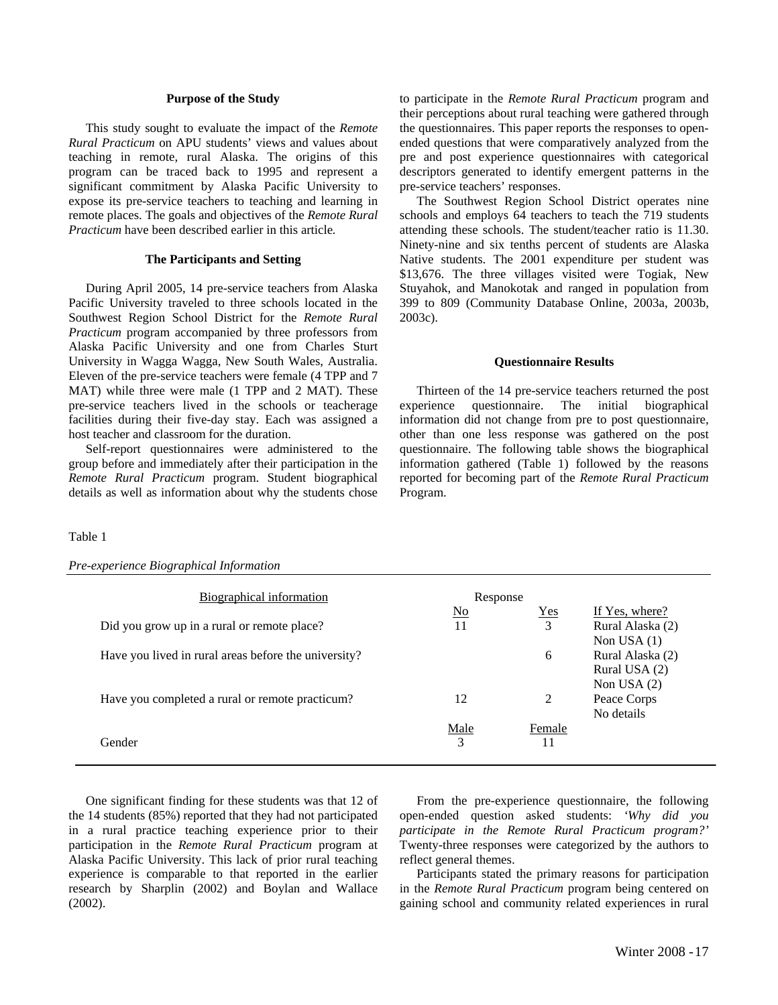#### **Purpose of the Study**

This study sought to evaluate the impact of the *Remote Rural Practicum* on APU students' views and values about teaching in remote, rural Alaska. The origins of this program can be traced back to 1995 and represent a significant commitment by Alaska Pacific University to expose its pre-service teachers to teaching and learning in remote places. The goals and objectives of the *Remote Rural Practicum* have been described earlier in this article*.*

#### **The Participants and Setting**

During April 2005, 14 pre-service teachers from Alaska Pacific University traveled to three schools located in the Southwest Region School District for the *Remote Rural Practicum* program accompanied by three professors from Alaska Pacific University and one from Charles Sturt University in Wagga Wagga, New South Wales, Australia. Eleven of the pre-service teachers were female (4 TPP and 7 MAT) while three were male (1 TPP and 2 MAT). These pre-service teachers lived in the schools or teacherage facilities during their five-day stay. Each was assigned a host teacher and classroom for the duration.

Self-report questionnaires were administered to the group before and immediately after their participation in the *Remote Rural Practicum* program. Student biographical details as well as information about why the students chose to participate in the *Remote Rural Practicum* program and their perceptions about rural teaching were gathered through the questionnaires. This paper reports the responses to openended questions that were comparatively analyzed from the pre and post experience questionnaires with categorical descriptors generated to identify emergent patterns in the pre-service teachers' responses.

The Southwest Region School District operates nine schools and employs 64 teachers to teach the 719 students attending these schools. The student/teacher ratio is 11.30. Ninety-nine and six tenths percent of students are Alaska Native students. The 2001 expenditure per student was \$13,676. The three villages visited were Togiak, New Stuyahok, and Manokotak and ranged in population from 399 to 809 (Community Database Online, 2003a, 2003b, 2003c).

#### **Questionnaire Results**

Thirteen of the 14 pre-service teachers returned the post experience questionnaire. The initial biographical information did not change from pre to post questionnaire, other than one less response was gathered on the post questionnaire. The following table shows the biographical information gathered (Table 1) followed by the reasons reported for becoming part of the *Remote Rural Practicum* Program.

#### Table 1

| Pre-experience Biographical Information |  |
|-----------------------------------------|--|
|                                         |  |

| Biographical information                             | Response                  |            |                  |
|------------------------------------------------------|---------------------------|------------|------------------|
|                                                      | $\underline{\mathrm{No}}$ | <b>Yes</b> | If Yes, where?   |
| Did you grow up in a rural or remote place?          | 11                        | 3          | Rural Alaska (2) |
|                                                      |                           |            | Non USA $(1)$    |
| Have you lived in rural areas before the university? |                           | 6          | Rural Alaska (2) |
|                                                      |                           |            | Rural USA (2)    |
|                                                      |                           |            | Non USA $(2)$    |
| Have you completed a rural or remote practicum?      | 12                        | 2          | Peace Corps      |
|                                                      |                           |            | No details       |
|                                                      | Male                      | Female     |                  |
| Gender                                               | 3                         |            |                  |
|                                                      |                           |            |                  |

One significant finding for these students was that 12 of the 14 students (85%) reported that they had not participated in a rural practice teaching experience prior to their participation in the *Remote Rural Practicum* program at Alaska Pacific University. This lack of prior rural teaching experience is comparable to that reported in the earlier research by Sharplin (2002) and Boylan and Wallace (2002).

From the pre-experience questionnaire, the following open-ended question asked students: *'Why did you participate in the Remote Rural Practicum program?'* Twenty-three responses were categorized by the authors to reflect general themes.

Participants stated the primary reasons for participation in the *Remote Rural Practicum* program being centered on gaining school and community related experiences in rural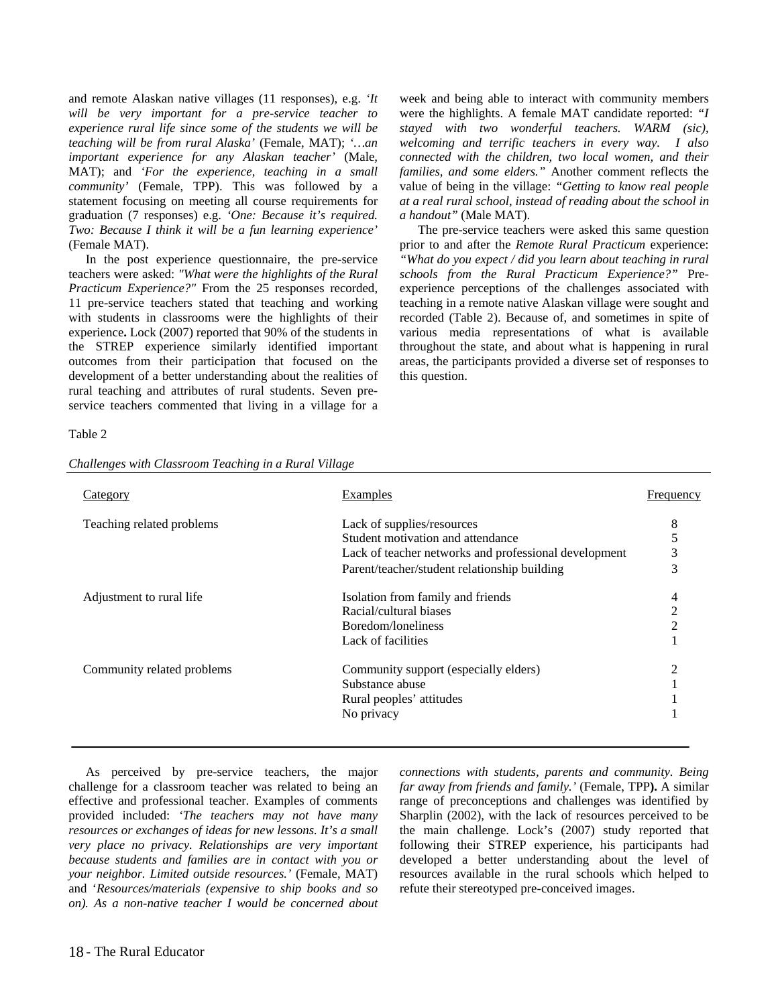and remote Alaskan native villages (11 responses), e.g. *'It will be very important for a pre-service teacher to experience rural life since some of the students we will be teaching will be from rural Alaska'* (Female, MAT); *'…an important experience for any Alaskan teacher'* (Male, MAT); and *'For the experience, teaching in a small community'* (Female, TPP). This was followed by a statement focusing on meeting all course requirements for graduation (7 responses) e.g. *'One: Because it's required. Two: Because I think it will be a fun learning experience'* (Female MAT).

In the post experience questionnaire, the pre-service teachers were asked: *"What were the highlights of the Rural Practicum Experience?"* From the 25 responses recorded, 11 pre-service teachers stated that teaching and working with students in classrooms were the highlights of their experience**.** Lock (2007) reported that 90% of the students in the STREP experience similarly identified important outcomes from their participation that focused on the development of a better understanding about the realities of rural teaching and attributes of rural students. Seven preservice teachers commented that living in a village for a

week and being able to interact with community members were the highlights. A female MAT candidate reported: *"I stayed with two wonderful teachers. WARM (sic), welcoming and terrific teachers in every way. I also connected with the children, two local women, and their families, and some elders."* Another comment reflects the value of being in the village: *"Getting to know real people at a real rural school, instead of reading about the school in a handout"* (Male MAT).

The pre-service teachers were asked this same question prior to and after the *Remote Rural Practicum* experience: *"What do you expect / did you learn about teaching in rural schools from the Rural Practicum Experience?"* Preexperience perceptions of the challenges associated with teaching in a remote native Alaskan village were sought and recorded (Table 2). Because of, and sometimes in spite of various media representations of what is available throughout the state, and about what is happening in rural areas, the participants provided a diverse set of responses to this question.

#### Table 2

| Challenges with Classroom Teaching in a Rural Village |  |  |
|-------------------------------------------------------|--|--|
|-------------------------------------------------------|--|--|

| Category                   | Examples                                              | Frequency      |
|----------------------------|-------------------------------------------------------|----------------|
| Teaching related problems  | Lack of supplies/resources                            | 8              |
|                            | Student motivation and attendance                     | 5              |
|                            | Lack of teacher networks and professional development | 3              |
|                            | Parent/teacher/student relationship building          | 3              |
| Adjustment to rural life   | Isolation from family and friends                     | 4              |
|                            | Racial/cultural biases                                | 2              |
|                            | Boredom/loneliness                                    | $\overline{c}$ |
|                            | Lack of facilities                                    |                |
| Community related problems | Community support (especially elders)                 | 2              |
|                            | Substance abuse                                       |                |
|                            | Rural peoples' attitudes                              |                |
|                            | No privacy                                            |                |

As perceived by pre-service teachers, the major challenge for a classroom teacher was related to being an effective and professional teacher. Examples of comments provided included: *'The teachers may not have many resources or exchanges of ideas for new lessons. It's a small very place no privacy. Relationships are very important because students and families are in contact with you or your neighbor. Limited outside resources.'* (Female, MAT) and '*Resources/materials (expensive to ship books and so on). As a non-native teacher I would be concerned about* 

*connections with students, parents and community. Being far away from friends and family.'* (Female, TPP**).** A similar range of preconceptions and challenges was identified by Sharplin (2002), with the lack of resources perceived to be the main challenge. Lock's (2007) study reported that following their STREP experience, his participants had developed a better understanding about the level of resources available in the rural schools which helped to refute their stereotyped pre-conceived images.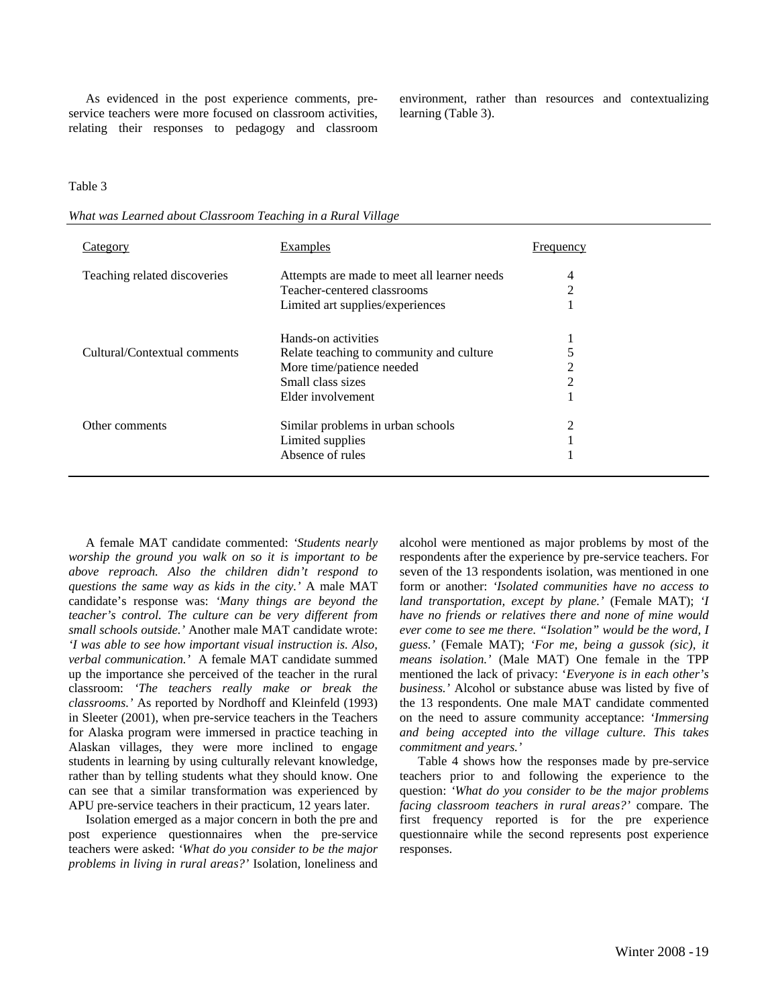As evidenced in the post experience comments, preservice teachers were more focused on classroom activities, relating their responses to pedagogy and classroom environment, rather than resources and contextualizing learning (Table 3).

#### Table 3

*What was Learned about Classroom Teaching in a Rural Village* 

| Category                     | Examples                                    | Frequency |
|------------------------------|---------------------------------------------|-----------|
| Teaching related discoveries | Attempts are made to meet all learner needs | 4         |
|                              | Teacher-centered classrooms                 | 2         |
|                              | Limited art supplies/experiences            |           |
|                              | Hands-on activities                         |           |
| Cultural/Contextual comments | Relate teaching to community and culture    |           |
|                              | More time/patience needed                   | 2         |
|                              | Small class sizes                           | 2         |
|                              | Elder involvement                           |           |
| Other comments               | Similar problems in urban schools           | 2         |
|                              | Limited supplies                            |           |
|                              | Absence of rules                            |           |

A female MAT candidate commented: *'Students nearly worship the ground you walk on so it is important to be above reproach. Also the children didn't respond to questions the same way as kids in the city.'* A male MAT candidate's response was: *'Many things are beyond the teacher's control. The culture can be very different from small schools outside.'* Another male MAT candidate wrote: *'I was able to see how important visual instruction is. Also, verbal communication.'* A female MAT candidate summed up the importance she perceived of the teacher in the rural classroom: *'The teachers really make or break the classrooms.'* As reported by Nordhoff and Kleinfeld (1993) in Sleeter (2001), when pre-service teachers in the Teachers for Alaska program were immersed in practice teaching in Alaskan villages, they were more inclined to engage students in learning by using culturally relevant knowledge, rather than by telling students what they should know. One can see that a similar transformation was experienced by APU pre-service teachers in their practicum, 12 years later.

Isolation emerged as a major concern in both the pre and post experience questionnaires when the pre-service teachers were asked: *'What do you consider to be the major problems in living in rural areas?'* Isolation, loneliness and

alcohol were mentioned as major problems by most of the respondents after the experience by pre-service teachers. For seven of the 13 respondents isolation, was mentioned in one form or another: *'Isolated communities have no access to land transportation, except by plane.'* (Female MAT); *'I have no friends or relatives there and none of mine would ever come to see me there. "Isolation" would be the word, I guess.'* (Female MAT); *'For me, being a gussok (sic), it means isolation.'* (Male MAT) One female in the TPP mentioned the lack of privacy: '*Everyone is in each other's business.'* Alcohol or substance abuse was listed by five of the 13 respondents. One male MAT candidate commented on the need to assure community acceptance: *'Immersing and being accepted into the village culture. This takes commitment and years.'* 

Table 4 shows how the responses made by pre-service teachers prior to and following the experience to the question: *'What do you consider to be the major problems facing classroom teachers in rural areas?'* compare. The first frequency reported is for the pre experience questionnaire while the second represents post experience responses.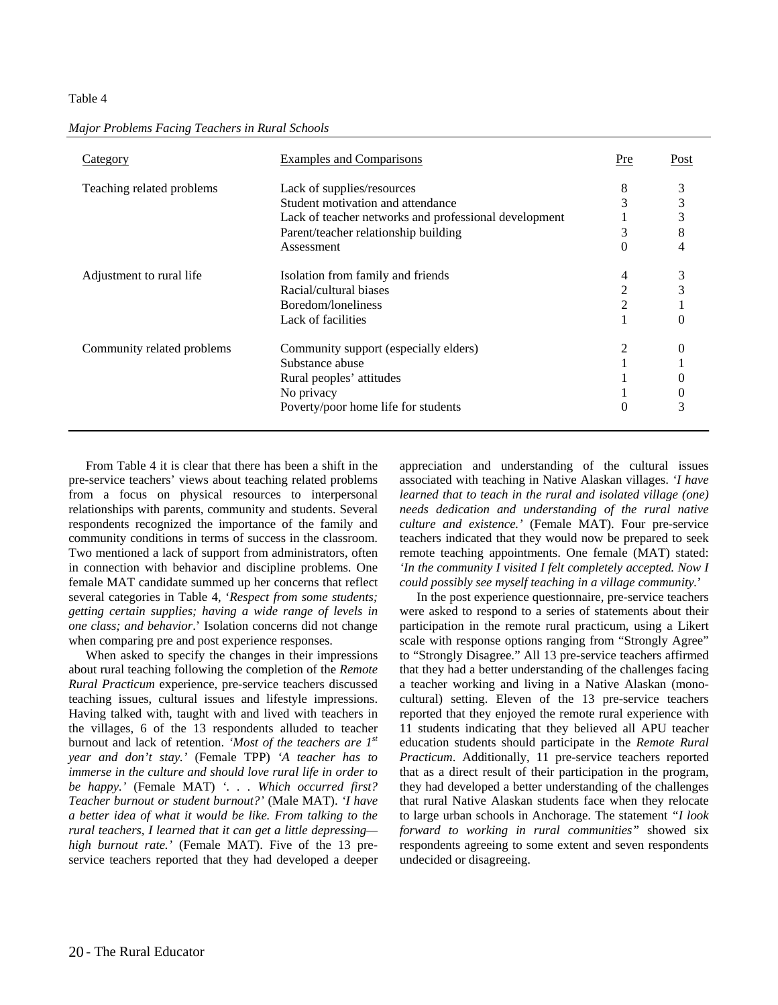#### Table 4

| Category                   | Examples and Comparisons                              | Pre | Post     |
|----------------------------|-------------------------------------------------------|-----|----------|
| Teaching related problems  | Lack of supplies/resources                            | 8   | 3        |
|                            | Student motivation and attendance                     | 3   | 3        |
|                            | Lack of teacher networks and professional development |     | 3        |
|                            | Parent/teacher relationship building                  | 3   | 8        |
|                            | Assessment                                            | 0   | 4        |
| Adjustment to rural life   | Isolation from family and friends                     | 4   |          |
|                            | Racial/cultural biases                                | 2   |          |
|                            | Boredom/loneliness                                    | 2   |          |
|                            | Lack of facilities                                    |     |          |
| Community related problems | Community support (especially elders)                 | 2   |          |
|                            | Substance abuse                                       |     |          |
|                            | Rural peoples' attitudes                              |     |          |
|                            | No privacy                                            |     | $\theta$ |
|                            | Poverty/poor home life for students                   | 0   | 3        |

*Major Problems Facing Teachers in Rural Schools* 

From Table 4 it is clear that there has been a shift in the pre-service teachers' views about teaching related problems from a focus on physical resources to interpersonal relationships with parents, community and students. Several respondents recognized the importance of the family and community conditions in terms of success in the classroom. Two mentioned a lack of support from administrators, often in connection with behavior and discipline problems. One female MAT candidate summed up her concerns that reflect several categories in Table 4, '*Respect from some students; getting certain supplies; having a wide range of levels in one class; and behavior*.' Isolation concerns did not change when comparing pre and post experience responses.

When asked to specify the changes in their impressions about rural teaching following the completion of the *Remote Rural Practicum* experience, pre-service teachers discussed teaching issues, cultural issues and lifestyle impressions. Having talked with, taught with and lived with teachers in the villages, 6 of the 13 respondents alluded to teacher burnout and lack of retention. *'Most of the teachers are 1st year and don't stay.'* (Female TPP) *'A teacher has to immerse in the culture and should love rural life in order to be happy.'* (Female MAT) *'. . . Which occurred first? Teacher burnout or student burnout?'* (Male MAT). *'I have a better idea of what it would be like. From talking to the rural teachers, I learned that it can get a little depressing high burnout rate.'* (Female MAT). Five of the 13 preservice teachers reported that they had developed a deeper appreciation and understanding of the cultural issues associated with teaching in Native Alaskan villages. *'I have learned that to teach in the rural and isolated village (one) needs dedication and understanding of the rural native culture and existence.'* (Female MAT). Four pre-service teachers indicated that they would now be prepared to seek remote teaching appointments. One female (MAT) stated: *'In the community I visited I felt completely accepted. Now I could possibly see myself teaching in a village community.*'

In the post experience questionnaire, pre-service teachers were asked to respond to a series of statements about their participation in the remote rural practicum, using a Likert scale with response options ranging from "Strongly Agree" to "Strongly Disagree." All 13 pre-service teachers affirmed that they had a better understanding of the challenges facing a teacher working and living in a Native Alaskan (monocultural) setting. Eleven of the 13 pre-service teachers reported that they enjoyed the remote rural experience with 11 students indicating that they believed all APU teacher education students should participate in the *Remote Rural Practicum*. Additionally, 11 pre-service teachers reported that as a direct result of their participation in the program, they had developed a better understanding of the challenges that rural Native Alaskan students face when they relocate to large urban schools in Anchorage. The statement *"I look forward to working in rural communities"* showed six respondents agreeing to some extent and seven respondents undecided or disagreeing.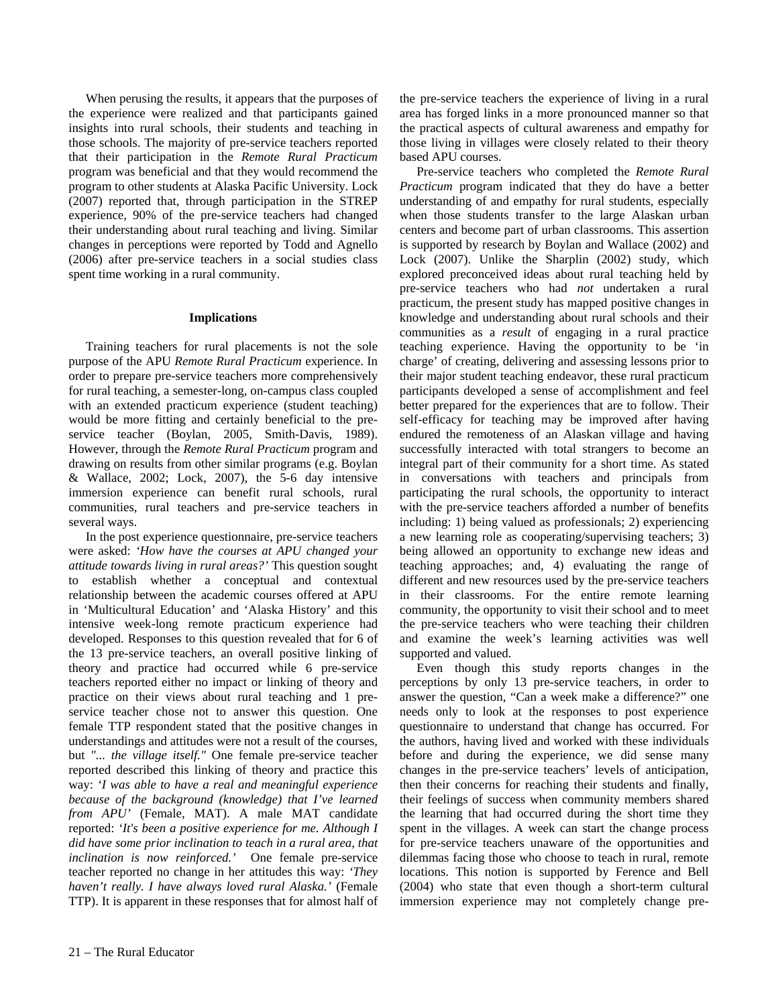When perusing the results, it appears that the purposes of the experience were realized and that participants gained insights into rural schools, their students and teaching in those schools. The majority of pre-service teachers reported that their participation in the *Remote Rural Practicum* program was beneficial and that they would recommend the program to other students at Alaska Pacific University. Lock (2007) reported that, through participation in the STREP experience, 90% of the pre-service teachers had changed their understanding about rural teaching and living. Similar changes in perceptions were reported by Todd and Agnello (2006) after pre-service teachers in a social studies class spent time working in a rural community.

#### **Implications**

Training teachers for rural placements is not the sole purpose of the APU *Remote Rural Practicum* experience. In order to prepare pre-service teachers more comprehensively for rural teaching, a semester-long, on-campus class coupled with an extended practicum experience (student teaching) would be more fitting and certainly beneficial to the preservice teacher (Boylan, 2005, Smith-Davis, 1989). However, through the *Remote Rural Practicum* program and drawing on results from other similar programs (e.g. Boylan & Wallace, 2002; Lock, 2007), the 5-6 day intensive immersion experience can benefit rural schools, rural communities, rural teachers and pre-service teachers in several ways.

In the post experience questionnaire, pre-service teachers were asked: *'How have the courses at APU changed your attitude towards living in rural areas?'* This question sought to establish whether a conceptual and contextual relationship between the academic courses offered at APU in 'Multicultural Education' and 'Alaska History' and this intensive week-long remote practicum experience had developed. Responses to this question revealed that for 6 of the 13 pre-service teachers, an overall positive linking of theory and practice had occurred while 6 pre-service teachers reported either no impact or linking of theory and practice on their views about rural teaching and 1 preservice teacher chose not to answer this question. One female TTP respondent stated that the positive changes in understandings and attitudes were not a result of the courses, but *"... the village itself."* One female pre-service teacher reported described this linking of theory and practice this way: *'I was able to have a real and meaningful experience because of the background (knowledge) that I've learned from APU'* (Female, MAT). A male MAT candidate reported: *'It's been a positive experience for me. Although I did have some prior inclination to teach in a rural area, that inclination is now reinforced.'* One female pre-service teacher reported no change in her attitudes this way: *'They haven't really. I have always loved rural Alaska.'* (Female TTP). It is apparent in these responses that for almost half of the pre-service teachers the experience of living in a rural area has forged links in a more pronounced manner so that the practical aspects of cultural awareness and empathy for those living in villages were closely related to their theory based APU courses.

Pre-service teachers who completed the *Remote Rural Practicum* program indicated that they do have a better understanding of and empathy for rural students, especially when those students transfer to the large Alaskan urban centers and become part of urban classrooms. This assertion is supported by research by Boylan and Wallace (2002) and Lock (2007). Unlike the Sharplin (2002) study, which explored preconceived ideas about rural teaching held by pre-service teachers who had *not* undertaken a rural practicum, the present study has mapped positive changes in knowledge and understanding about rural schools and their communities as a *result* of engaging in a rural practice teaching experience. Having the opportunity to be 'in charge' of creating, delivering and assessing lessons prior to their major student teaching endeavor, these rural practicum participants developed a sense of accomplishment and feel better prepared for the experiences that are to follow. Their self-efficacy for teaching may be improved after having endured the remoteness of an Alaskan village and having successfully interacted with total strangers to become an integral part of their community for a short time. As stated in conversations with teachers and principals from participating the rural schools, the opportunity to interact with the pre-service teachers afforded a number of benefits including: 1) being valued as professionals; 2) experiencing a new learning role as cooperating/supervising teachers; 3) being allowed an opportunity to exchange new ideas and teaching approaches; and, 4) evaluating the range of different and new resources used by the pre-service teachers in their classrooms. For the entire remote learning community, the opportunity to visit their school and to meet the pre-service teachers who were teaching their children and examine the week's learning activities was well supported and valued.

Even though this study reports changes in the perceptions by only 13 pre-service teachers, in order to answer the question, "Can a week make a difference?" one needs only to look at the responses to post experience questionnaire to understand that change has occurred. For the authors, having lived and worked with these individuals before and during the experience, we did sense many changes in the pre-service teachers' levels of anticipation, then their concerns for reaching their students and finally, their feelings of success when community members shared the learning that had occurred during the short time they spent in the villages. A week can start the change process for pre-service teachers unaware of the opportunities and dilemmas facing those who choose to teach in rural, remote locations. This notion is supported by Ference and Bell (2004) who state that even though a short-term cultural immersion experience may not completely change pre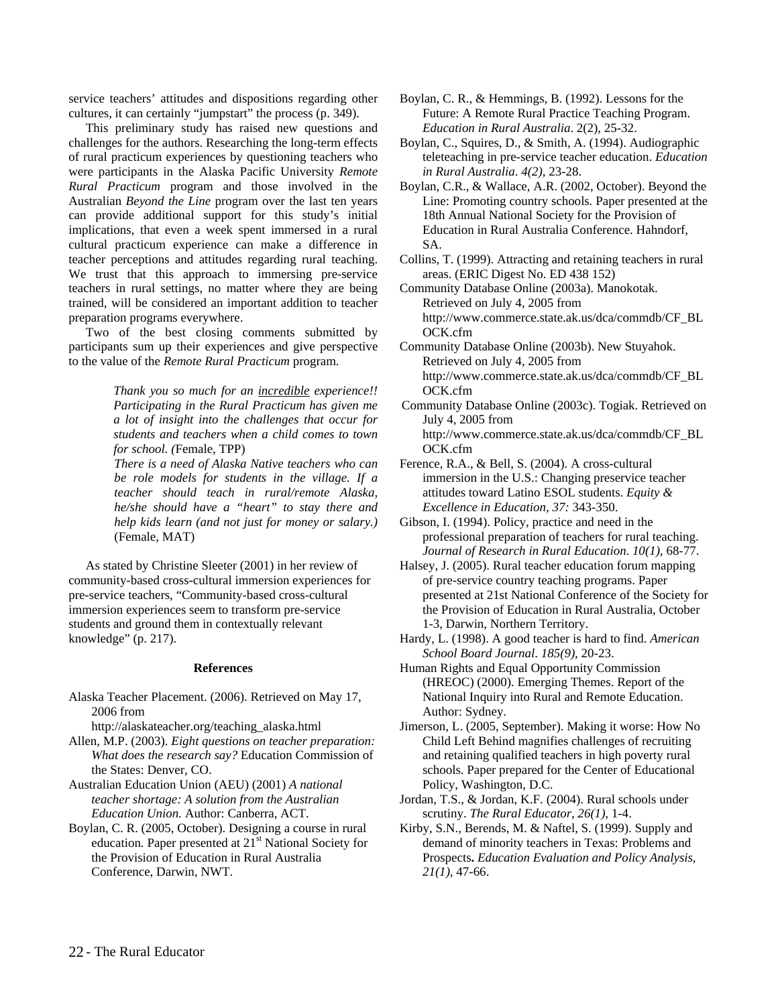service teachers' attitudes and dispositions regarding other cultures, it can certainly "jumpstart" the process (p. 349).

This preliminary study has raised new questions and challenges for the authors. Researching the long-term effects of rural practicum experiences by questioning teachers who were participants in the Alaska Pacific University *Remote Rural Practicum* program and those involved in the Australian *Beyond the Line* program over the last ten years can provide additional support for this study's initial implications, that even a week spent immersed in a rural cultural practicum experience can make a difference in teacher perceptions and attitudes regarding rural teaching. We trust that this approach to immersing pre-service teachers in rural settings, no matter where they are being trained, will be considered an important addition to teacher preparation programs everywhere.

Two of the best closing comments submitted by participants sum up their experiences and give perspective to the value of the *Remote Rural Practicum* program.

> *Thank you so much for an incredible experience!! Participating in the Rural Practicum has given me a lot of insight into the challenges that occur for students and teachers when a child comes to town for school. (*Female, TPP)

> *There is a need of Alaska Native teachers who can be role models for students in the village. If a teacher should teach in rural/remote Alaska, he/she should have a "heart" to stay there and help kids learn (and not just for money or salary.)*  (Female, MAT)

As stated by Christine Sleeter (2001) in her review of community-based cross-cultural immersion experiences for pre-service teachers, "Community-based cross-cultural immersion experiences seem to transform pre-service students and ground them in contextually relevant knowledge" (p. 217).

#### **References**

Alaska Teacher Placement. (2006). Retrieved on May 17, 2006 from

http://alaskateacher.org/teaching\_alaska.html

- Allen, M.P. (2003). *Eight questions on teacher preparation: What does the research say?* Education Commission of the States: Denver, CO.
- Australian Education Union (AEU) (2001) *A national teacher shortage: A solution from the Australian Education Union.* Author: Canberra, ACT.
- Boylan, C. R. (2005, October). Designing a course in rural education. Paper presented at 21<sup>st</sup> National Society for the Provision of Education in Rural Australia Conference, Darwin, NWT.
- Boylan, C. R., & Hemmings, B. (1992). Lessons for the Future: A Remote Rural Practice Teaching Program. *Education in Rural Australia*. 2(2), 25-32.
- Boylan, C., Squires, D., & Smith, A. (1994). Audiographic teleteaching in pre-service teacher education. *Education in Rural Australia*. *4(2),* 23-28.
- Boylan, C.R., & Wallace, A.R. (2002, October). Beyond the Line: Promoting country schools*.* Paper presented at the 18th Annual National Society for the Provision of Education in Rural Australia Conference. Hahndorf, SA.
- Collins, T. (1999). Attracting and retaining teachers in rural areas. (ERIC Digest No. ED 438 152)

Community Database Online (2003a). Manokotak. Retrieved on July 4, 2005 from http://www.commerce.state.ak.us/dca/commdb/CF\_BL OCK.cfm

- Community Database Online (2003b). New Stuyahok. Retrieved on July 4, 2005 from http://www.commerce.state.ak.us/dca/commdb/CF\_BL OCK.cfm
- Community Database Online (2003c). Togiak. Retrieved on July 4, 2005 from http://www.commerce.state.ak.us/dca/commdb/CF\_BL OCK.cfm

Ference, R.A., & Bell, S. (2004). A cross-cultural immersion in the U.S.: Changing preservice teacher attitudes toward Latino ESOL students. *Equity & Excellence in Education, 37:* 343-350.

Gibson, I. (1994). Policy, practice and need in the professional preparation of teachers for rural teaching. *Journal of Research in Rural Education*. *10(1),* 68-77.

Halsey, J. (2005). Rural teacher education forum mapping of pre-service country teaching programs. Paper presented at 21st National Conference of the Society for the Provision of Education in Rural Australia, October 1-3, Darwin, Northern Territory.

Hardy, L. (1998). A good teacher is hard to find. *American School Board Journal*. *185(9),* 20-23.

- Human Rights and Equal Opportunity Commission (HREOC) (2000). Emerging Themes. Report of the National Inquiry into Rural and Remote Education. Author: Sydney.
- Jimerson, L. (2005, September). Making it worse: How No Child Left Behind magnifies challenges of recruiting and retaining qualified teachers in high poverty rural schools. Paper prepared for the Center of Educational Policy, Washington, D.C.
- Jordan, T.S., & Jordan, K.F. (2004). Rural schools under scrutiny. *The Rural Educator*, *26(1),* 1-4.
- Kirby, S.N., Berends, M. & Naftel, S. (1999). Supply and demand of minority teachers in Texas: Problems and Prospects**.** *Education Evaluation and Policy Analysis*, *21(1),* 47-66.